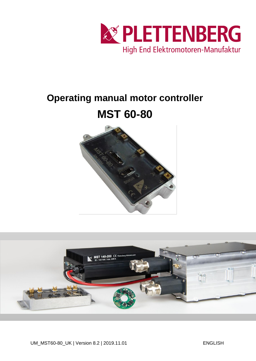

## **Operating manual motor controller**

# **MST 60-80**



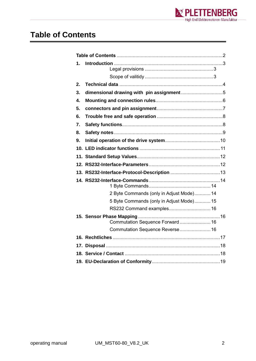

#### <span id="page-1-0"></span>**Table of Contents**

| 1. |                                          |  |  |  |  |
|----|------------------------------------------|--|--|--|--|
|    |                                          |  |  |  |  |
| 2. |                                          |  |  |  |  |
| 3. |                                          |  |  |  |  |
| 4. |                                          |  |  |  |  |
| 5. |                                          |  |  |  |  |
| 6. |                                          |  |  |  |  |
| 7. |                                          |  |  |  |  |
| 8. |                                          |  |  |  |  |
| 9. |                                          |  |  |  |  |
|    |                                          |  |  |  |  |
|    |                                          |  |  |  |  |
|    |                                          |  |  |  |  |
|    |                                          |  |  |  |  |
|    |                                          |  |  |  |  |
|    | 2 Byte Commands (only in Adjust Mode) 14 |  |  |  |  |
|    | 5 Byte Commands (only in Adjust Mode) 15 |  |  |  |  |
|    | RS232 Command examples 16                |  |  |  |  |
|    | Commutation Sequence Forward 16          |  |  |  |  |
|    | Commutation Sequence Reverse 16          |  |  |  |  |
|    |                                          |  |  |  |  |
|    |                                          |  |  |  |  |
|    |                                          |  |  |  |  |
|    |                                          |  |  |  |  |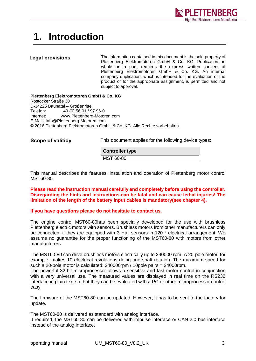

### <span id="page-2-0"></span>**1. Introduction**

#### <span id="page-2-1"></span>**Legal provisions**

The information contained in this document is the sole property of Plettenberg Elektromotoren GmbH & Co. KG. Publication, in whole or in part, requires the express written consent of Plettenberg Elektromotoren GmbH & Co. KG. An internal company duplication, which is intended for the evaluation of the product or for the appropriate assignment, is permitted and not subject to approval.

**Plettenberg Elektromotoren GmbH & Co. KG** Rostocker Straße 30 D-34225 Baunatal – Großenritte Telefon: +49 (0) 56 01 / 97 96-0 Internet: www.Plettenberg-Motoren.com E-Mail: [Info@Plettenberg-Motoren.com](mailto:Info@Plettenberg-Motoren.com) © 2016 Plettenberg Elektromotoren GmbH & Co. KG. Alle Rechte vorbehalten.

<span id="page-2-2"></span>**Scope of valitidy**

This document applies for the following device types:

**Controller type** MST 60-80

This manual describes the features, installation and operation of Plettenberg motor control MST60-80.

**Please read the instruction manual carefully and completely before using the controller. Disregarding the hints and instructions can be fatal and can cause lethal injuries! The limitation of the length of the battery input cables is mandatory(see chapter 4).**

#### **If you have questions please do not hesitate to contact us.**

The engine control MST60-80has been specially developed for the use with brushless Plettenberg electric motors with sensors. Brushless motors from other manufacturers can only be connected, if they are equipped with 3 Hall sensors in 120 ° electrical arrangement. We assume no guarantee for the proper functioning of the MST60-80 with motors from other manufacturers.

The MST60-80 can drive brushless motors electrically up to 240000 rpm. A 20-pole motor, for example, makes 10 electrical revolutions doing one shaft rotation. The maximum speed for such a 20-pole motor is calculated: 240000rpm / 10pole pairs = 24000rpm.

The powerful 32-bit microprocessor allows a sensitive and fast motor control in conjunction with a very universal use. The measured values are displayed in real time on the RS232 interface in plain text so that they can be evaluated with a PC or other microprocessor control easy.

The firmware of the MST60-80 can be updated. However, it has to be sent to the factory for update.

The MST60-80 is delivered as standard with analog interface.

If required, the MST60-80 can be delivered with impulse interface or CAN 2.0 bus interface instead of the analog interface.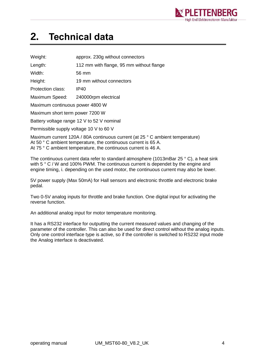

### <span id="page-3-0"></span>**2. Technical data**

| Weight:                                    | approx. 230g without connectors          |  |  |  |  |
|--------------------------------------------|------------------------------------------|--|--|--|--|
| Length:                                    | 112 mm with flange, 95 mm without flange |  |  |  |  |
| Width:                                     | 56 mm                                    |  |  |  |  |
| Height:                                    | 19 mm without connectors                 |  |  |  |  |
| Protection class:                          | <b>IP40</b>                              |  |  |  |  |
| Maximum Speed:                             | 240000rpm electrical                     |  |  |  |  |
| Maximum continuous power 4800 W            |                                          |  |  |  |  |
| Maximum short term power 7200 W            |                                          |  |  |  |  |
| Battery voltage range 12 V to 52 V nominal |                                          |  |  |  |  |
| Permissible supply voltage 10 V to 60 V    |                                          |  |  |  |  |
|                                            |                                          |  |  |  |  |

Maximum current 120A / 80A continuous current (at 25 ° C ambient temperature) At 50 °C ambient temperature, the continuous current is 65 A. At 75 ° C ambient temperature, the continuous current is 46 A.

The continuous current data refer to standard atmosphere (1013mBar 25 ° C), a heat sink with 5 ° C / W and 100% PWM. The continuous current is dependet by the engine and engine timing, i. depending on the used motor, the continuous current may also be lower.

5V power supply (Max 50mA) for Hall sensors and electronic throttle and electronic brake pedal.

Two 0-5V analog inputs for throttle and brake function. One digital input for activating the reverse function.

An additional analog input for motor temperature monitoring.

It has a RS232 interface for outputting the current measured values and changing of the parameter of the controller. This can also be used for direct control without the analog inputs. Only one control interface type is active, so if the controller is switched to RS232 input mode the Analog interface is deactivated.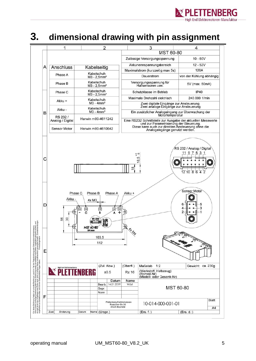

#### <span id="page-4-0"></span>**3. dimensional drawing with pin assignment**

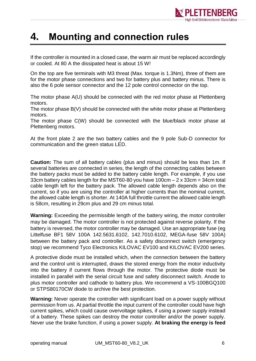

#### <span id="page-5-0"></span>**4. Mounting and connection rules**

If the controller is mounted in a closed case, the warm air must be replaced accordingly or cooled. At 80 A the dissipated heat is about 15 W!

On the top are five terminals with M3 threat (Max. torque is 1.3Nm), three of them are for the motor phase connections and two for battery plus and battery minus. There is also the 6 pole sensor connector and the 12 pole control connector on the top.

The motor phase A(U) should be connected with the red motor phase at Plettenberg motors.

The motor phase B(V) should be connected with the white motor phase at Plettenberg motors.

The motor phase C(W) should be connected with the blue/black motor phase at Plettenberg motors.

At the front plate 2 are the two battery cables and the 9 pole Sub-D connector for communication and the green status LED.

**Caution:** The sum of all battery cables (plus and minus) should be less than 1m. If several batteries are connected in series, the length of the connecting cables between the battery packs must be added to the battery cable length. For example, if you use 33cm battery cables length for the MST60-80 you have  $100 \text{cm} - 2 \times 33 \text{cm} = 34 \text{cm}$  total cable length left for the battery pack. The allowed cable length depends also on the current, so if you are using the controller at higher currents than the nominal current, the allowed cable length is shorter. At 140A full throttle current the allowed cable length is 58cm, resulting in 29cm plus and 29 cm minus total.

**Warning:** Exceeding the permissible length of the battery wiring, the motor controller may be damaged. The motor controller is not protected against reverse polarity. If the battery is reversed, the motor controller may be damaged. Use an appropriate fuse (eg Littelfuse BF1 58V 100A 142.5631.6102, 142.7010.6102, MEGA-fuse 58V 100A) between the battery pack and controller. As a safety disconnect switch (emergency stop) we recommend Tyco Electronics KILOVAC EV100 and KILOVAC EV200 series.

A protective diode must be installed which, when the connection between the battery and the control unit is interrupted, draws the stored energy from the motor inductivity into the battery if current flows through the motor. The protective diode must be installed in parallel with the serial circuit fuse and safety disconnect switch. Anode to plus motor controller and cathode to battery plus. We recommend a VS-100BGQ100 or STPS80170CW diode to archive the best protection.

**Warning:** Never operate the controller with significant load on a power supply without permission from us. At partial throttle the input current of the controller could have high current spikes, which could cause overvoltage spikes, if using a power supply instead of a battery. These spikes can destroy the motor controller and/or the power supply. Never use the brake function, if using a power supply. **At braking the energy is feed**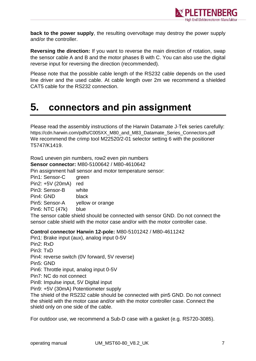

**back to the power supply**, the resulting overvoltage may destroy the power supply and/or the controller.

**Reversing the direction:** If you want to reverse the main direction of rotation, swap the sensor cable A and B and the motor phases B with C. You can also use the digital reverse input for reversing the direction (recommended).

Please note that the possible cable length of the RS232 cable depends on the used line driver and the used cable. At cable length over 2m we recommend a shielded CAT5 cable for the RS232 connection.

### <span id="page-6-0"></span>**5. connectors and pin assignment**

Please read the assembly instructions of the Harwin Datamate J-Tek series carefully: https://cdn.harwin.com/pdfs/C005XX\_M80\_and\_M83\_Datamate\_Series\_Connectors.pdf We recommend the crimp tool M22520/2-01 selector setting 6 with the positioner T5747/K1419.

Row1 uneven pin numbers, row2 even pin numbers **Sensor connector:** M80-5100642 / M80-4610642

Pin assignment hall sensor and motor temperature sensor:

Pin1: Sensor-C green Pin2: +5V (20mA) red Pin3: Sensor-B white Pin4: GND black Pin5: Sensor-A yellow or orange Pin6: NTC (47k) blue

The sensor cable shield should be connected with sensor GND. Do not connect the sensor cable shield with the motor case and/or with the motor controller case.

#### **Control connector Harwin 12-pole:** M80-5101242 / M80-4611242

Pin1: Brake input (aux), analog input 0-5V Pin2: RxD Pin3: TxD Pin4: reverse switch (0V forward, 5V reverse) Pin5: GND Pin6: Throttle input, analog input 0-5V Pin7: NC do not connect Pin8: Impulse input, 5V Digital input Pin9: +5V (30mA) Potentiometer supply The shield of the RS232 cable should be connected with pin5 GND. Do not connect

the shield with the motor case and/or with the motor controller case. Connect the shield only on one side of the cable.

For outdoor use, we recommend a Sub-D case with a gasket (e.g. RS720-3085).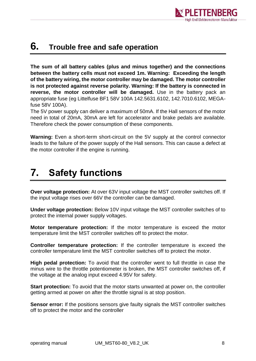

#### <span id="page-7-0"></span>**6. Trouble free and safe operation**

**The sum of all battery cables (plus and minus together) and the connections between the battery cells must not exceed 1m. Warning: Exceeding the length of the battery wiring, the motor controller may be damaged. The motor controller is not protected against reverse polarity. Warning: If the battery is connected in reverse, the motor controller will be damaged.** Use in the battery pack an appropriate fuse (eg Littelfuse BF1 58V 100A 142.5631.6102, 142.7010.6102, MEGAfuse 58V 100A).

The 5V power supply can deliver a maximum of 50mA. If the Hall sensors of the motor need in total of 20mA, 30mA are left for accelerator and brake pedals are available. Therefore check the power consumption of these components.

**Warning:** Even a short-term short-circuit on the 5V supply at the control connector leads to the failure of the power supply of the Hall sensors. This can cause a defect at the motor controller if the engine is running.

### <span id="page-7-1"></span>**7. Safety functions**

**Over voltage protection:** At over 63V input voltage the MST controller switches off. If the input voltage rises over 66V the controller can be damaged.

**Under voltage protection:** Below 10V input voltage the MST controller switches of to protect the internal power supply voltages.

**Motor temperature protection:** If the motor temperature is exceed the motor temperature limit the MST controller switches off to protect the motor.

**Controller temperature protection:** If the controller temperature is exceed the controller temperature limit the MST controller switches off to protect the motor.

**High pedal protection:** To avoid that the controller went to full throttle in case the minus wire to the throttle potentiometer is broken, the MST controller switches off, if the voltage at the analog input exceed 4.95V for safety.

**Start protection:** To avoid that the motor starts unwanted at power on, the controller getting armed at power on after the throttle signal is at stop position.

**Sensor error:** If the positions sensors give faulty signals the MST controller switches off to protect the motor and the controller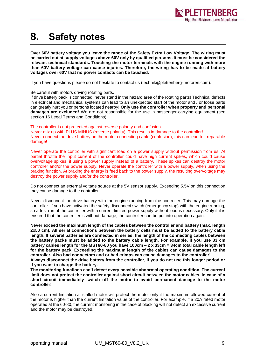

### <span id="page-8-0"></span>**8. Safety notes**

**Over 60V battery voltage you leave the range of the Safety Extra Low Voltage! The wiring must be carried out at supply voltages above 60V only by qualified persons. It must be considered the relevant technical standards. Touching the motor terminals with the engine running with more than 60V battery voltage can cause injuries. Therefore, the wiring has to be made at battery voltages over 60V that no power contacts can be touched.**

If you have questions please do not hesitate to contact us (technik@plettenberg-motoren.com).

Be careful with motors driving rotating parts.

If drive battery pack is connected, never stand in the hazard area of the rotating parts! Technical defects in electrical and mechanical systems can lead to an unexpected start of the motor and / or loose parts can greatly hurt you or persons located nearby**! Only use the controller when property and personal damages are excluded!** We are not responsible for the use in passenger-carrying equipment (see section 16 Legal Terms and Conditions)!

The controller is not protected against reverse polarity and confusion.

Never mix up with PLUS MINUS (reverse polarity)! This results in damage to the controller! Never connect the drive battery on the motor connecting cable (confusion), this can lead to irreparable damage!

Never operate the controller with significant load on a power supply without permission from us. At partial throttle the input current of the controller could have high current spikes, which could cause overvoltage spikes, if using a power supply instead of a battery. These spikes can destroy the motor controller and/or the power supply. Never operate the controller with a power supply, when using the braking function. At braking the energy is feed back to the power supply, the resulting overvoltage may destroy the power supply and/or the controller.

Do not connect an external voltage source at the 5V sensor supply. Exceeding 5.5V on this connection may cause damage to the controller.

Never disconnect the drive battery with the engine running from the controller. This may damage the controller. If you have activated the safety disconnect switch (emergency stop) with the engine running, so a test run of the controller with a current-limited power supply without load is necessary. Only if it is ensured that the controller is without damage, the controller can be put into operation again.

**Never exceed the maximum length of the cables between the controller and battery (max. length 2x50 cm). All serial connections between the battery cells must be added to the battery cable length. If several batteries are connected in series, the length of the connecting cables between the battery packs must be added to the battery cable length. For example, if you use 33 cm battery cables length for the MST60-80 you have 100cm – 2 x 33cm = 34cm total cable length left for the battery pack. Exceeding the maximum length of the cables can cause damages to the controller. Also bad connectors and or bad crimps can cause damages to the controller!** 

**Always disconnect the drive battery from the controller, if you do not use this longer period or if you want to charge the battery.**

**The monitoring functions can't detect every possible abnormal operating condition. The current limit does not protect the controller against short circuit between the motor cables. In case of a short circuit immediately switch off the motor to avoid permanent damage to the motor controller!**

Also a current limitation at stalled motor will protect the motor only if the maximum allowed current of the motor is higher than the current limitation value of the controller. For example, if a 20A rated motor operated at the 60-80, the current monitoring in the case of blocking will not detect an excessive current and the motor may be destroyed.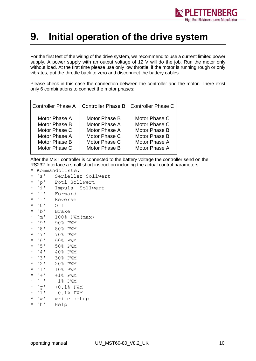

#### <span id="page-9-0"></span>**9. Initial operation of the drive system**

For the first test of the wiring of the drive system, we recommend to use a current limited power supply. A power supply with an output voltage of 12 V will do the job. Run the motor only without load. At the first time please use only low throttle, if the motor is running rough or only vibrates, put the throttle back to zero and disconnect the battery cables.

Please check in this case the connection between the controller and the motor. There exist only 6 combinations to connect the motor phases:

| <b>Controller Phase A</b> |               | Controller Phase B   Controller Phase C |
|---------------------------|---------------|-----------------------------------------|
| Motor Phase A             | Motor Phase B | Motor Phase C                           |
| Motor Phase B             | Motor Phase A | Motor Phase C                           |
| Motor Phase C             | Motor Phase A | Motor Phase B                           |
| Motor Phase A             | Motor Phase C | Motor Phase B                           |
| Motor Phase B             | Motor Phase C | Motor Phase A                           |
| Motor Phase C             | Motor Phase B | Motor Phase A                           |

After the MST controller is connected to the battery voltage the controller send on the RS232-Interface a small short instruction including the actual control parameters:

- \* Kommandoliste:
- \* 's' Serieller Sollwert
- \* 'p' Poti Sollwert
- \* 'i' Impuls Sollwert
- \* 'f' Forward \* 'r' Reverse
- 
- \* '0' Off Brake
- 
- $*$  'm'  $100\%$  PWM (max) \* '9' 90% PWM
- \* '8' 80% PWM
- \* '7' 70% PWM
- \* '6' 60% PWM
- \* '5' 50% PWM
- \* '4' 40% PWM
- 
- \* '3' 30% PWM
- \* '2' 20% PWM
- \* '1' 10% PWM
- $\star$  '+' +1% PWM
- $\star$  '-' -1% PWM
- \* 'g' +0.1% PWM
- \* 'l' -0.1% PWM
- \* 'w' write setup
- \* 'h' Help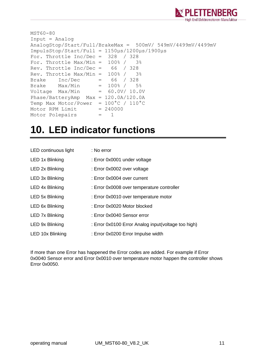

```
MST60-80
Input = Analog
AnalogStop/Start/Full/BrakeMax = 500mV/ 549mV/4499mV/4499mV
ImpulsStop/Start/Full = 1150µs/1200µs/1900µs
For. Throttle Inc/Dec = 328 / 328
For. Throttle Max/Min = 100\frac{8}{7} 3%
Rev. Throttle Inc/Dec = 66 / 328
Rev. Throttle Max/Min = 100\frac{8}{7} 3%
Brake Inc/Dec = 66 / 328Brake Max/Min = 100\frac{8}{7} 5%
Voltage Max/Min = 60.0V/ 10.0V
Phase/BatteryAmp Max = 120.0A/120.0A
Temp Max Motor/Power = 100°C / 110°C
Motor RPM Limit = 240000Motor Polepairs = 1
```
#### <span id="page-10-0"></span>**10. LED indicator functions**

| LED continuous light   | : No error                                          |
|------------------------|-----------------------------------------------------|
| LED 1x Blinking        | : Error 0x0001 under voltage                        |
| LED 2x Blinking        | : Error 0x0002 over voltage                         |
| LED 3x Blinking        | : Error 0x0004 over current                         |
| LED 4x Blinking        | : Error 0x0008 over temperature controller          |
| LED 5x Blinking        | : Error 0x0010 over temperature motor               |
| LED 6x Blinking        | : Error 0x0020 Motor blocked                        |
| <b>LED 7x Blinking</b> | : Error 0x0040 Sensor error                         |
| LED 9x Blinking        | : Error 0x0100 Error Analog input(voltage too high) |
| LED 10x Blinking       | : Error 0x0200 Error Impulse width                  |

If more than one Error has happened the Error codes are added. For example if Error 0x0040 Sensor error and Error 0x0010 over temperature motor happen the controller shows Error 0x0050.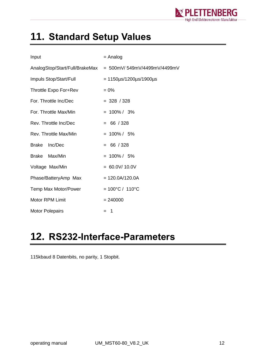

## <span id="page-11-0"></span>**11. Standard Setup Values**

| Input                   | $=$ Analog                                                 |  |  |
|-------------------------|------------------------------------------------------------|--|--|
|                         | AnalogStop/Start/Full/BrakeMax = 500mV/549mV/4499mV/4499mV |  |  |
| Impuls Stop/Start/Full  | $= 1150 \mu s / 1200 \mu s / 1900 \mu s$                   |  |  |
| Throttle Expo For+Rev   | $= 0\%$                                                    |  |  |
| For. Throttle Inc/Dec   | $= 328 / 328$                                              |  |  |
| For. Throttle Max/Min   | $= 100\% / 3\%$                                            |  |  |
| Rev. Throttle Inc/Dec   | $= 66 / 328$                                               |  |  |
| Rev. Throttle Max/Min   | $= 100\% / 5\%$                                            |  |  |
| <b>Brake</b><br>Inc/Dec | $= 66 / 328$                                               |  |  |
| Max/Min<br>Brake        | $= 100\% / 5\%$                                            |  |  |
| Voltage Max/Min         | $= 60.0 V/ 10.0 V$                                         |  |  |
| Phase/BatteryAmp Max    | $= 120.0A/120.0A$                                          |  |  |
| Temp Max Motor/Power    | $= 100^{\circ}C / 110^{\circ}C$                            |  |  |
| <b>Motor RPM Limit</b>  | $= 240000$                                                 |  |  |
| <b>Motor Polepairs</b>  | - 1<br>$=$                                                 |  |  |

### <span id="page-11-1"></span>**12. RS232-Interface-Parameters**

115kbaud 8 Datenbits, no parity, 1 Stopbit.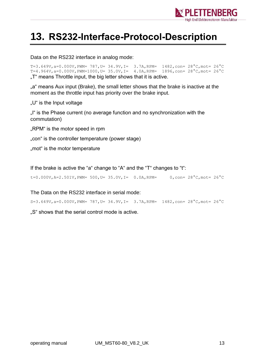

### <span id="page-12-0"></span>**13. RS232-Interface-Protocol-Description**

Data on the RS232 interface in analog mode:

T=3.649V, a=0.000V, PWM= 787, U= 34.9V, I= 3.7A, RPM=  $1482$ , con=  $28^{\circ}$ C, mot=  $26^{\circ}$ C T=4.964V, a=0.000V, PWM=1000, U= 35.0V, I= 4.0A, RPM=  $1896$ , con=  $28^{\circ}$ C, mot=  $26^{\circ}$ C ..T" means Throttle input, the big letter shows that it is active.

"a" means Aux input (Brake), the small letter shows that the brake is inactive at the moment as the throttle input has priority over the brake input.

"U" is the Input voltage

"I" is the Phase current (no average function and no synchronization with the commutation)

"RPM" is the motor speed in rpm

"con" is the controller temperature (power stage)

..mot" is the motor temperature

If the brake is active the "a" change to "A" and the "T" changes to "t":

t=0.000V, A=2.501V, PWM= 500, U= 35.0V, I= 0.0A, RPM= 0, con=  $28^{\circ}$ C, mot=  $26^{\circ}$ C

The Data on the RS232 interface in serial mode:

S=3.649V,a=0.000V,PWM= 787,U= 34.9V,I= 3.7A,RPM= 1482,con= 28°C,mot= 26°C

..S" shows that the serial control mode is active.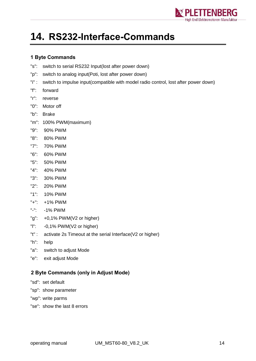

### <span id="page-13-0"></span>**14. RS232-Interface-Commands**

#### <span id="page-13-1"></span>**1 Byte Commands**

- "s": switch to serial RS232 Input(lost after power down)
- "p": switch to analog input(Poti, lost after power down)
- "i" : switch to impulse input(compatible with model radio control, lost after power down)
- "f": forward
- "r": reverse
- "0": Motor off
- "b": Brake
- "m": 100% PWM(maximum)
- "9": 90% PWM
- "8": 80% PWM
- "7": 70% PWM
- "6": 60% PWM
- "5": 50% PWM
- "4": 40% PWM
- "3": 30% PWM
- "2": 20% PWM
- "1": 10% PWM
- "+": +1% PWM
- "-": -1% PWM
- "g": +0,1% PWM(V2 or higher)
- "l": -0,1% PWM(V2 or higher)
- "t" : activate 2s Timeout at the serial Interface(V2 or higher)
- "h": help
- "a": switch to adjust Mode
- "e": exit adjust Mode

#### <span id="page-13-2"></span>**2 Byte Commands (only in Adjust Mode)**

- "sd": set default
- "sp": show parameter
- "wp": write parms
- "se": show the last 8 errors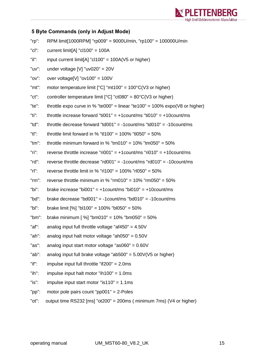

#### <span id="page-14-0"></span>**5 Byte Commands (only in Adjust Mode)**

| $"rp"$ :    | RPM limit[1000RPM] "rp009" = 9000U/min, "rp100" = 100000U/min                        |
|-------------|--------------------------------------------------------------------------------------|
| $"$ c $"$ : | current limit[A] " $cl100" = 100A$                                                   |
| "il":       | input current limit[A] " $c1100$ " = 100A(V5 or higher)                              |
| "uv":       | under voltage [V] "uv020" = $20V$                                                    |
| "ov":       | over voltage[V] " $ov100$ " = 100V                                                   |
| "mt":       | motor temperature limit $[°C]$ "mt100" = 100 $°C$ (V3 or higher)                     |
| $"ct"$ :    | controller temperature limit $[^{\circ}C]$ "ct080" = 80 $^{\circ}C$ (V3 or higher)   |
| "te":       | throttle expo curve in % "te000" = linear "te100" = 100% expo( $\sqrt{8}$ or higher) |
| "ti":       | throttle increase forward "ti001" = +1count/ms "ti010" = +10count/ms                 |
| "td":       | throttle decrease forward "td001" = -1 count/ms "td010" = -10 count/ms               |
| "tl":       | throttle limit forward in % "tl100" = 100% "tl050" = 50%                             |
| $"tm"$ :    | throttle minimum forward in % "tm010" = $10\%$ "tm050" = $50\%$                      |
| $"$ ri":    | reverse throttle increase "ri001" = $+1$ count/ms "ri010" = $+10$ count/ms           |
| $"rd"$ :    | reverse throttle decrease "rd001" = $-1$ count/ms "rd010" = $-10$ count/ms           |
| $"r"$ :     | reverse throttle limit in % "rl100" = 100% "rl050" = 50%                             |
| $"rm$ :     | reverse throttle minimum in % " $rm 010" = 10\%$ " $rm 050" = 50\%$                  |
| "bi":       | brake increase "bi001" = $+1$ count/ms "bi010" = $+10$ count/ms                      |
| "bd":       | brake decrease "bd001" = $-1$ count/ms "bd010" = $-10$ count/ms                      |
| $"bl"$ :    | brake limit [%] "bl100" = 100% "bl050" = 50%                                         |
| " $bm$ ":   | brake minimum [ $\%$ ] "bm010" = 10% "bm050" = 50%                                   |
| "af":       | analog input full throttle voltage "af450" = $4.50V$                                 |
| "ah":       | analog input halt motor voltage "ah050" = $0.50V$                                    |
| "as":       | analog input start motor voltage "as060" = $0.60V$                                   |
| "ab":       | analog input full brake voltage "ab500" = $5.00V(V5$ or higher)                      |
| $"$ if":    | impulse input full throttle "if $200" = 2.0$ ms                                      |
| $"ih"$ :    | impulse input halt motor "ih100" = $1.0$ ms                                          |
| "is":       | impulse input start motor "is110" = $1.1$ ms                                         |

- "pp": motor pole pairs count "pp001" = 2-Poles
- "ot": output time RS232 [ms] "ot200" = 200ms ( minimum 7ms) (V4 or higher)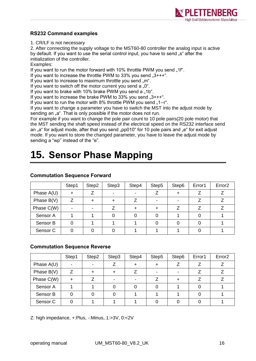

#### <span id="page-15-0"></span>**RS232 Command examples**

1. CR/LF is not necessary

2. After connecting the supply voltage to the MST60-80 controller the analog input is active by default. If you want to use the serial control input, you have to send "s" after the initialization of the controller.

Examples:

If you want to run the motor forward with 10% throttle PWM you send "1f".

If you want to increase the throttle PWM to 33% you send  $.3++-.$ 

If you want to increase to maximum throttle you send "m".

If you want to switch off the motor current you send a  $.0^{\circ}$ .

If you want to brake with 10% brake PWM you send a "1b".

If you want to increase the brake PWM to  $33\%$  you send  $.3***$ .

If you want to run the motor with  $8\%$  throttle PWM you send  $.1 - r$ .

If you want to change a parameter you have to switch the MST into the adjust mode by sending an "a". That is only possible if the motor does not run.

For example if you want to change the pole pair count to 10 pole pairs(20 pole motor) that the MST sending the shaft speed instead of the electrical speed on the RS232 interface send an "a" for adjust mode, after that you send "pp010" for 10 pole pairs and "e" for exit adjust mode. If you want to store the changed parameter, you have to leave the adjust mode by sending a "wp" instead of the "e".

## <span id="page-15-1"></span>**15. Sensor Phase Mapping**

|                     | Step1                    | Step2 | Step3 | Step4 | Step5 | Step6 | Error1 | Error <sub>2</sub> |
|---------------------|--------------------------|-------|-------|-------|-------|-------|--------|--------------------|
| Phase A(U)          |                          |       |       |       |       |       |        |                    |
| Phase B(V)          |                          |       |       |       |       |       |        |                    |
| Phase C(W)          | $\overline{\phantom{a}}$ |       |       |       |       |       |        |                    |
| Sensor A            |                          |       |       |       |       |       |        |                    |
| Sensor B            |                          |       |       |       |       |       |        |                    |
| Sensor <sub>C</sub> |                          |       |       |       |       |       |        |                    |

#### <span id="page-15-2"></span>**Commutation Sequence Forward**

#### <span id="page-15-3"></span>**Commutation Sequence Reverse**

|                     | Step1 | Step2 | Step3 | Step4 | Step5 | Step6 | Error1 | Error <sub>2</sub> |
|---------------------|-------|-------|-------|-------|-------|-------|--------|--------------------|
| Phase $A(U)$        | -     |       |       |       |       |       |        |                    |
| Phase $B(V)$        |       |       |       |       |       |       |        |                    |
| Phase C(W)          |       |       |       |       |       |       |        |                    |
| Sensor A            |       |       |       |       |       |       |        |                    |
| Sensor B            |       |       |       |       |       |       |        |                    |
| Sensor <sub>C</sub> |       |       |       |       |       |       |        |                    |

Z: high impedance, +:Plus, -:Minus, 1:>3V, 0:<2V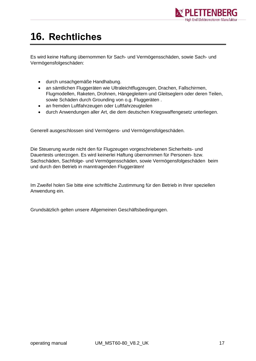

## <span id="page-16-0"></span>**16. Rechtliches**

Es wird keine Haftung übernommen für Sach- und Vermögensschäden, sowie Sach- und Vermögensfolgeschäden:

- durch unsachgemäße Handhabung.
- an sämtlichen Fluggeräten wie Ultraleichtflugzeugen, Drachen, Fallschirmen, Flugmodellen, Raketen, Drohnen, Hängegleitern und Gleitseglern oder deren Teilen, sowie Schäden durch Grounding von o.g. Fluggeräten .
- an fremden Luftfahrzeugen oder Luftfahrzeugteilen
- durch Anwendungen aller Art, die dem deutschen Kriegswaffengesetz unterliegen.

Generell ausgeschlossen sind Vermögens- und Vermögensfolgeschäden.

Die Steuerung wurde nicht den für Flugzeugen vorgeschriebenen Sicherheits- und Dauertests unterzogen. Es wird keinerlei Haftung übernommen für Personen- bzw. Sachschäden, Sachfolge- und Vermögensschäden, sowie Vermögensfolgeschäden beim und durch den Betrieb in manntragenden Fluggeräten!

Im Zweifel holen Sie bitte eine schriftliche Zustimmung für den Betrieb in Ihrer speziellen Anwendung ein.

Grundsätzlich gelten unsere Allgemeinen Geschäftsbedingungen.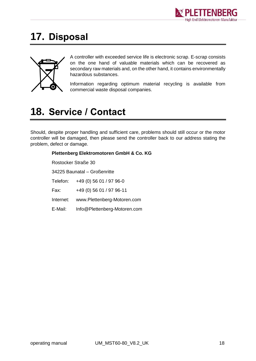

### <span id="page-17-0"></span>**17. Disposal**



A controller with exceeded service life is electronic scrap. E-scrap consists on the one hand of valuable materials which can be recovered as secondary raw materials and, on the other hand, it contains environmentally hazardous substances.

Information regarding optimum material recycling is available from commercial waste disposal companies.

### <span id="page-17-1"></span>**18. Service / Contact**

Should, despite proper handling and sufficient care, problems should still occur or the motor controller will be damaged, then please send the controller back to our address stating the problem, defect or damage.

#### **Plettenberg Elektromotoren GmbH & Co. KG** Rostocker Straße 30 34225 Baunatal – Großenritte Telefon: +49 (0) 56 01 / 97 96-0 Fax: +49 (0) 56 01 / 97 96-11 Internet: www.Plettenberg-Motoren.com E-Mail: [Info@Plettenberg-Motoren.com](mailto:Info@Plettenberg-Motoren.com)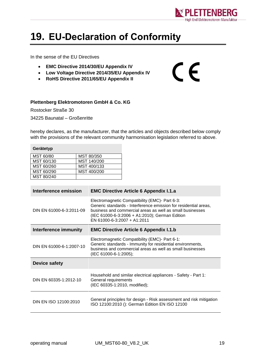

 $C \in$ 

### <span id="page-18-0"></span>**19. EU-Declaration of Conformity**

In the sense of the EU Directives

- **EMC Directive 2014/30/EU Appendix IV**
- **Low Voltage Directive 2014/35/EU Appendix IV**
- **RoHS Directive 2011/65/EU Appendix II**

#### **Plettenberg Elektromotoren GmbH & Co. KG**

Rostocker Straße 30 34225 Baunatal – Großenritte

hereby declares, as the manufacturer, that the articles and objects described below comply with the provisions of the relevant community harmonisation legislation referred to above.

| Gerätetyp  |             |  |  |  |  |
|------------|-------------|--|--|--|--|
| MST 60/80  | MST 80/350  |  |  |  |  |
| MST 60/130 | MST 140/200 |  |  |  |  |
| MST 60/260 | MST 400/133 |  |  |  |  |
| MST 60/290 | MST 400/200 |  |  |  |  |
| MST 80/240 |             |  |  |  |  |

| Interference emission    | <b>EMC Directive Article 6 Appendix I.1.a</b>                                                                                                                                                                                                                    |  |  |  |
|--------------------------|------------------------------------------------------------------------------------------------------------------------------------------------------------------------------------------------------------------------------------------------------------------|--|--|--|
| DIN EN 61000-6-3:2011-09 | Electromagnetic Compatibility (EMC)- Part 6-3:<br>Generic standards - Interference emission for residential areas,<br>business and commercial areas as well as small businesses<br>(IEC 61000-6-3:2006 + A1:2010); German Edition<br>EN 61000-6-3:2007 + A1:2011 |  |  |  |
| Interference immunity    | <b>EMC Directive Article 6 Appendix I.1.b</b>                                                                                                                                                                                                                    |  |  |  |
| DIN EN 61000-6-1:2007-10 | Electromagnetic Compatibility (EMC)- Part 6-1:<br>Generic standards - Immunity for residential environments,<br>business and commercial areas as well as small businesses<br>(IEC 61000-6-1:2005);                                                               |  |  |  |
| Device safety            |                                                                                                                                                                                                                                                                  |  |  |  |
| DIN EN 60335-1:2012-10   | Household and similar electrical appliances - Safety - Part 1:<br>General requirements<br>(IEC 60335-1:2010, modified);                                                                                                                                          |  |  |  |
| DIN EN ISO 12100:2010    | General principles for design - Risk assessment and risk mitigation<br>ISO 12100:2010 (): German Edition EN ISO 12100                                                                                                                                            |  |  |  |